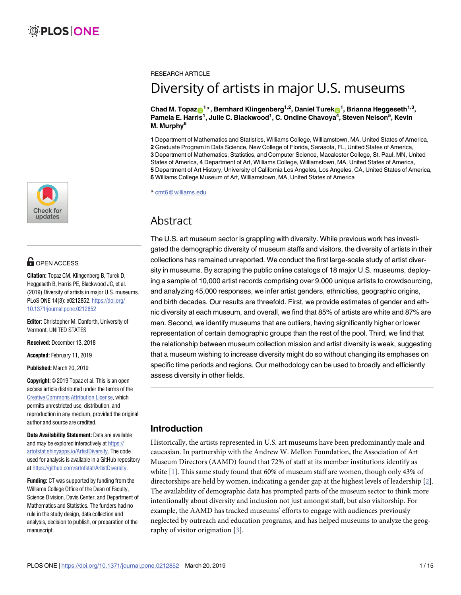

# **OPEN ACCESS**

**Citation:** Topaz CM, Klingenberg B, Turek D, Heggeseth B, Harris PE, Blackwood JC, et al. (2019) Diversity of artists in major U.S. museums. PLoS ONE 14(3): e0212852. [https://doi.org/](https://doi.org/10.1371/journal.pone.0212852) [10.1371/journal.pone.0212852](https://doi.org/10.1371/journal.pone.0212852)

**Editor:** Christopher M. Danforth, University of Vermont, UNITED STATES

**Received:** December 13, 2018

**Accepted:** February 11, 2019

**Published:** March 20, 2019

**Copyright:** © 2019 Topaz et al. This is an open access article distributed under the terms of the Creative Commons [Attribution](http://creativecommons.org/licenses/by/4.0/) License, which permits unrestricted use, distribution, and reproduction in any medium, provided the original author and source are credited.

**Data Availability Statement:** Data are available and may be explored interactively at [https://](https://artofstat.shinyapps.io/ArtistDiversity) [artofstat.shinyapps.io/ArtistDiversity](https://artofstat.shinyapps.io/ArtistDiversity). The code used for analysis is available in a GitHub repository at [https://github.com/artofstat/ArtistDiversity.](https://github.com/artofstat/ArtistDiversity)

**Funding:** CT was supported by funding from the Williams College Office of the Dean of Faculty, Science Division, Davis Center, and Department of Mathematics and Statistics. The funders had no rule in the study design, data collection and analysis, decision to publish, or preparation of the manuscript.

<span id="page-0-0"></span>RESEARCH ARTICLE

# Diversity of artists in major U.S. museums

#### $\mathsf{Chad}\ \mathsf{M}\ \mathsf{I}}\ \mathsf{Topaz}^{\mathsf{I}\ \mathsf{a}}\ \mathsf{I}\ \mathsf{I}}, \mathsf{Bernhard}\ \mathsf{Klingenberg}^{\mathsf{1,2}},\ \mathsf{Daniel}\ \mathsf{True} \ \mathsf{I}^{\mathsf{I}}\ \mathsf{I}\ \mathsf{Brianna}\ \mathsf{Heggeseth}^{\mathsf{1,3}},$ **Pamela E. Harris1 , Julie C. Blackwood1 , C. Ondine Chavoya4 , Steven Nelson5 , Kevin M. Murphy6**

 Department of Mathematics and Statistics, Williams College, Williamstown, MA, United States of America, Graduate Program in Data Science, New College of Florida, Sarasota, FL, United States of America, Department of Mathematics, Statistics, and Computer Science, Macalester College, St. Paul, MN, United States of America, **4** Department of Art, Williams College, Williamstown, MA, United States of America, Department of Art History, University of California Los Angeles, Los Angeles, CA, United States of America, Williams College Museum of Art, Williamstown, MA, United States of America

\* cmt6@williams.edu

# Abstract

The U.S. art museum sector is grappling with diversity. While previous work has investigated the demographic diversity of museum staffs and visitors, the diversity of artists in their collections has remained unreported. We conduct the first large-scale study of artist diversity in museums. By scraping the public online catalogs of 18 major U.S. museums, deploying a sample of 10,000 artist records comprising over 9,000 unique artists to crowdsourcing, and analyzing 45,000 responses, we infer artist genders, ethnicities, geographic origins, and birth decades. Our results are threefold. First, we provide estimates of gender and ethnic diversity at each museum, and overall, we find that 85% of artists are white and 87% are men. Second, we identify museums that are outliers, having significantly higher or lower representation of certain demographic groups than the rest of the pool. Third, we find that the relationship between museum collection mission and artist diversity is weak, suggesting that a museum wishing to increase diversity might do so without changing its emphases on specific time periods and regions. Our methodology can be used to broadly and efficiently assess diversity in other fields.

## **Introduction**

Historically, the artists represented in U.S. art museums have been predominantly male and caucasian. In partnership with the Andrew W. Mellon Foundation, the Association of Art Museum Directors (AAMD) found that 72% of staff at its member institutions identify as white [[1](#page-13-0)]. This same study found that 60% of museum staff are women, though only 43% of directorships are held by women, indicating a gender gap at the highest levels of leadership [\[2](#page-13-0)]. The availability of demographic data has prompted parts of the museum sector to think more intentionally about diversity and inclusion not just amongst staff, but also visitorship. For example, the AAMD has tracked museums' efforts to engage with audiences previously neglected by outreach and education programs, and has helped museums to analyze the geography of visitor origination [\[3](#page-13-0)].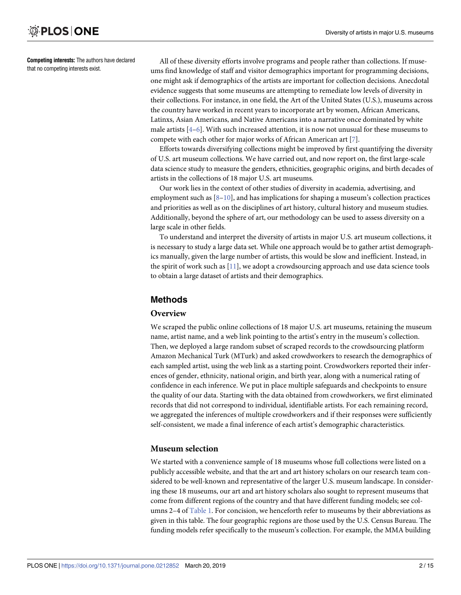<span id="page-1-0"></span>**Competing interests:** The authors have declared that no competing interests exist.

All of these diversity efforts involve programs and people rather than collections. If museums find knowledge of staff and visitor demographics important for programming decisions, one might ask if demographics of the artists are important for collection decisions. Anecdotal evidence suggests that some museums are attempting to remediate low levels of diversity in their collections. For instance, in one field, the Art of the United States (U.S.), museums across the country have worked in recent years to incorporate art by women, African Americans, Latinxs, Asian Americans, and Native Americans into a narrative once dominated by white male artists [[4–6\]](#page-13-0). With such increased attention, it is now not unusual for these museums to compete with each other for major works of African American art [\[7](#page-13-0)].

Efforts towards diversifying collections might be improved by first quantifying the diversity of U.S. art museum collections. We have carried out, and now report on, the first large-scale data science study to measure the genders, ethnicities, geographic origins, and birth decades of artists in the collections of 18 major U.S. art museums.

Our work lies in the context of other studies of diversity in academia, advertising, and employment such as  $[8-10]$ , and has implications for shaping a museum's collection practices and priorities as well as on the disciplines of art history, cultural history and museum studies. Additionally, beyond the sphere of art, our methodology can be used to assess diversity on a large scale in other fields.

To understand and interpret the diversity of artists in major U.S. art museum collections, it is necessary to study a large data set. While one approach would be to gather artist demographics manually, given the large number of artists, this would be slow and inefficient. Instead, in the spirit of work such as [[11](#page-13-0)], we adopt a crowdsourcing approach and use data science tools to obtain a large dataset of artists and their demographics.

#### **Methods**

#### **Overview**

We scraped the public online collections of 18 major U.S. art museums, retaining the museum name, artist name, and a web link pointing to the artist's entry in the museum's collection. Then, we deployed a large random subset of scraped records to the crowdsourcing platform Amazon Mechanical Turk (MTurk) and asked crowdworkers to research the demographics of each sampled artist, using the web link as a starting point. Crowdworkers reported their inferences of gender, ethnicity, national origin, and birth year, along with a numerical rating of confidence in each inference. We put in place multiple safeguards and checkpoints to ensure the quality of our data. Starting with the data obtained from crowdworkers, we first eliminated records that did not correspond to individual, identifiable artists. For each remaining record, we aggregated the inferences of multiple crowdworkers and if their responses were sufficiently self-consistent, we made a final inference of each artist's demographic characteristics.

#### **Museum selection**

We started with a convenience sample of 18 museums whose full collections were listed on a publicly accessible website, and that the art and art history scholars on our research team considered to be well-known and representative of the larger U.S. museum landscape. In considering these 18 museums, our art and art history scholars also sought to represent museums that come from different regions of the country and that have different funding models; see columns 2–4 of [Table](#page-2-0) 1. For concision, we henceforth refer to museums by their abbreviations as given in this table. The four geographic regions are those used by the U.S. Census Bureau. The funding models refer specifically to the museum's collection. For example, the MMA building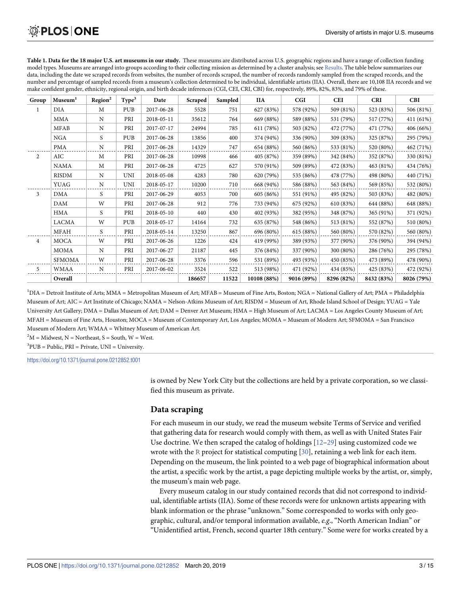<span id="page-2-0"></span>[Table](#page-1-0) 1. Data for the 18 major U.S. art museums in our study. These museums are distributed across U.S. geographic regions and have a range of collection funding model types. Museums are arranged into groups according to their collecting mission as determined by a cluster analysis; see [Results](#page-6-0). The table below summarizes our data, including the date we scraped records from websites, the number of records scraped, the number of records randomly sampled from the scraped records, and the number and percentage of sampled records from a museum's collection determined to be individual, identifiable artists (IIA). Overall, there are 10,108 IIA records and we make confident gender, ethnicity, regional origin, and birth decade inferences (CGI, CEI, CRI, CBI) for, respectively, 89%, 82%, 83%, and 79% of these.

| Group          | Museum <sup>1</sup> | Region <sup>2</sup> | Type <sup>3</sup> | Date       | Scraped | Sampled | <b>IIA</b>  | CGI        | <b>CEI</b> | <b>CRI</b> | <b>CBI</b> |
|----------------|---------------------|---------------------|-------------------|------------|---------|---------|-------------|------------|------------|------------|------------|
|                | DIA                 | M                   | PUB               | 2017-06-28 | 5528    | 751     | 627 (83%)   | 578 (92%)  | 509 (81%)  | 523 (83%)  | 506 (81%)  |
|                | MMA                 | N                   | PRI               | 2018-05-11 | 35612   | 764     | 669 (88%)   | 589 (88%)  | 531 (79%)  | 517 (77%)  | 411(61%)   |
|                | <b>MFAB</b>         | N                   | PRI               | 2017-07-17 | 24994   | 785     | 611 (78%)   | 503 (82%)  | 472 (77%)  | 471 (77%)  | 406 (66%)  |
|                | <b>NGA</b>          | S                   | PUB               | 2017-06-28 | 13856   | 400     | 374 (94%)   | 336 (90%)  | 309 (83%)  | 325 (87%)  | 295 (79%)  |
|                | <b>PMA</b>          | N                   | PRI               | 2017-06-28 | 14329   | 747     | 654 (88%)   | 560 (86%)  | 533 (81%)  | 520 (80%)  | 462 (71%)  |
| 2              | AIC                 | M                   | PRI               | 2017-06-28 | 10998   | 466     | 405 (87%)   | 359 (89%)  | 342 (84%)  | 352 (87%)  | 330 (81%)  |
|                | NAMA                | M                   | PRI               | 2017-06-28 | 4725    | 627     | 570 (91%)   | 509 (89%)  | 472 (83%)  | 463 (81%)  | 434 (76%)  |
|                | <b>RISDM</b>        | N                   | <b>UNI</b>        | 2018-05-08 | 4283    | 780     | 620 (79%)   | 535 (86%)  | 478 (77%)  | 498 (80%)  | 440 (71%)  |
|                | <b>YUAG</b>         | N                   | UNI               | 2018-05-17 | 10200   | 710     | 668 (94%)   | 586 (88%)  | 563 (84%)  | 569 (85%)  | 532 (80%)  |
| 3              | <b>DMA</b>          | S                   | PRI               | 2017-06-29 | 4053    | 700     | 605 (86%)   | 551 (91%)  | 495 (82%)  | 503 (83%)  | 482 (80%)  |
|                | DAM                 | W                   | PRI               | 2017-06-28 | 912     | 776     | 733 (94%)   | 675 (92%)  | 610 (83%)  | 644 (88%)  | 648 (88%)  |
|                | <b>HMA</b>          | S                   | PRI               | 2018-05-10 | 440     | 430     | 402 (93%)   | 382 (95%)  | 348 (87%)  | 365 (91%)  | 371 (92%)  |
|                | <b>LACMA</b>        | W                   | PUB               | 2018-05-17 | 14164   | 732     | 635 (87%)   | 548 (86%)  | 513 (81%)  | 552 (87%)  | 510 (80%)  |
|                | MFAH                | S                   | PRI               | 2018-05-14 | 13250   | 867     | 696 (80%)   | 615 (88%)  | 560 (80%)  | 570 (82%)  | 560 (80%)  |
| $\overline{4}$ | <b>MOCA</b>         | W                   | PRI               | 2017-06-26 | 1226    | 424     | 419 (99%)   | 389 (93%)  | 377 (90%)  | 376 (90%)  | 394 (94%)  |
|                | MOMA                | N                   | PRI               | 2017-06-27 | 21187   | 445     | 376 (84%)   | 337 (90%)  | 300 (80%)  | 286 (76%)  | 295 (78%)  |
|                | <b>SFMOMA</b>       | W                   | PRI               | 2017-06-28 | 3376    | 596     | 531 (89%)   | 493 (93%)  | 450 (85%)  | 473 (89%)  | 478 (90%)  |
| 5              | <b>WMAA</b>         | N                   | PRI               | 2017-06-02 | 3524    | 522     | 513 (98%)   | 471 (92%)  | 434 (85%)  | 425 (83%)  | 472 (92%)  |
|                | Overall             |                     |                   |            | 186657  | 11522   | 10108 (88%) | 9016 (89%) | 8296 (82%) | 8432 (83%) | 8026 (79%) |

1 DIA = Detroit Institute of Arts; MMA = Metropolitan Museum of Art; MFAB = Museum of Fine Arts, Boston; NGA = National Gallery of Art; PMA = Philadelphia Museum of Art; AIC = Art Institute of Chicago; NAMA = Nelson-Atkins Museum of Art; RISDM = Museum of Art, Rhode Island School of Design; YUAG = Yale University Art Gallery; DMA = Dallas Museum of Art; DAM = Denver Art Museum; HMA = High Museum of Art; LACMA = Los Angeles County Museum of Art; MFAH = Museum of Fine Arts, Houston; MOCA = Museum of Contemporary Art, Los Angeles; MOMA = Museum of Modern Art; SFMOMA = San Francisco Museum of Modern Art; WMAA = Whitney Museum of American Art.

 ${}^{2}M$  = Midwest, N = Northeast, S = South, W = West.

 ${}^{3}$ PUB = Public, PRI = Private, UNI = University.

<https://doi.org/10.1371/journal.pone.0212852.t001>

is owned by New York City but the collections are held by a private corporation, so we classified this museum as private.

#### **Data scraping**

For each museum in our study, we read the museum website Terms of Service and verified that gathering data for research would comply with them, as well as with United States Fair Use doctrine. We then scraped the catalog of holdings  $[12-29]$  $[12-29]$  $[12-29]$  using customized code we wrote with the R project for statistical computing [\[30\]](#page-14-0), retaining a web link for each item. Depending on the museum, the link pointed to a web page of biographical information about the artist, a specific work by the artist, a page depicting multiple works by the artist, or, simply, the museum's main web page.

Every museum catalog in our study contained records that did not correspond to individual, identifiable artists (IIA). Some of these records were for unknown artists appearing with blank information or the phrase "unknown." Some corresponded to works with only geographic, cultural, and/or temporal information available, *e.g*., "North American Indian" or "Unidentified artist, French, second quarter 18th century." Some were for works created by a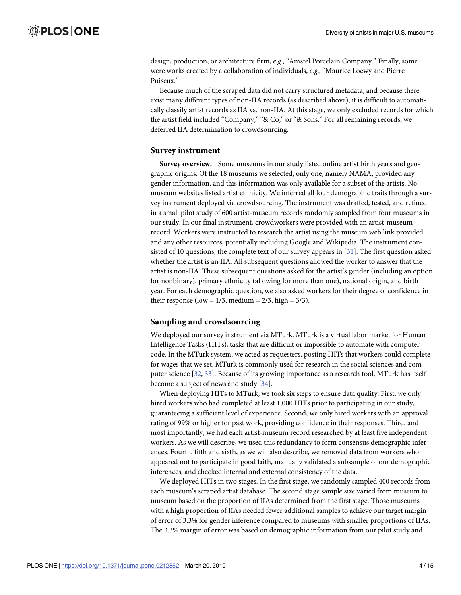<span id="page-3-0"></span>design, production, or architecture firm, *e.g*., "Amstel Porcelain Company." Finally, some were works created by a collaboration of individuals, *e.g*., "Maurice Loewy and Pierre Puiseux."

Because much of the scraped data did not carry structured metadata, and because there exist many different types of non-IIA records (as described above), it is difficult to automatically classify artist records as IIA vs. non-IIA. At this stage, we only excluded records for which the artist field included "Company," "& Co," or "& Sons." For all remaining records, we deferred IIA determination to crowdsourcing.

#### **Survey instrument**

**Survey overview.** Some museums in our study listed online artist birth years and geographic origins. Of the 18 museums we selected, only one, namely NAMA, provided any gender information, and this information was only available for a subset of the artists. No museum websites listed artist ethnicity. We inferred all four demographic traits through a survey instrument deployed via crowdsourcing. The instrument was drafted, tested, and refined in a small pilot study of 600 artist-museum records randomly sampled from four museums in our study. In our final instrument, crowdworkers were provided with an artist-museum record. Workers were instructed to research the artist using the museum web link provided and any other resources, potentially including Google and Wikipedia. The instrument consisted of 10 questions; the complete text of our survey appears in [[31](#page-14-0)]. The first question asked whether the artist is an IIA. All subsequent questions allowed the worker to answer that the artist is non-IIA. These subsequent questions asked for the artist's gender (including an option for nonbinary), primary ethnicity (allowing for more than one), national origin, and birth year. For each demographic question, we also asked workers for their degree of confidence in their response (low =  $1/3$ , medium =  $2/3$ , high =  $3/3$ ).

#### **Sampling and crowdsourcing**

We deployed our survey instrument via MTurk. MTurk is a virtual labor market for Human Intelligence Tasks (HITs), tasks that are difficult or impossible to automate with computer code. In the MTurk system, we acted as requesters, posting HITs that workers could complete for wages that we set. MTurk is commonly used for research in the social sciences and computer science [[32](#page-14-0), [33](#page-14-0)]. Because of its growing importance as a research tool, MTurk has itself become a subject of news and study [\[34\]](#page-14-0).

When deploying HITs to MTurk, we took six steps to ensure data quality. First, we only hired workers who had completed at least 1,000 HITs prior to participating in our study, guaranteeing a sufficient level of experience. Second, we only hired workers with an approval rating of 99% or higher for past work, providing confidence in their responses. Third, and most importantly, we had each artist-museum record researched by at least five independent workers. As we will describe, we used this redundancy to form consensus demographic inferences. Fourth, fifth and sixth, as we will also describe, we removed data from workers who appeared not to participate in good faith, manually validated a subsample of our demographic inferences, and checked internal and external consistency of the data.

We deployed HITs in two stages. In the first stage, we randomly sampled 400 records from each museum's scraped artist database. The second stage sample size varied from museum to museum based on the proportion of IIAs determined from the first stage. Those museums with a high proportion of IIAs needed fewer additional samples to achieve our target margin of error of 3.3% for gender inference compared to museums with smaller proportions of IIAs. The 3.3% margin of error was based on demographic information from our pilot study and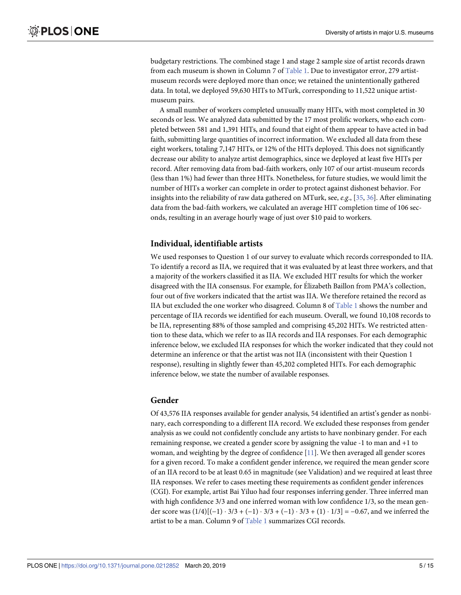<span id="page-4-0"></span>budgetary restrictions. The combined stage 1 and stage 2 sample size of artist records drawn from each museum is shown in Column 7 of [Table](#page-2-0) 1. Due to investigator error, 279 artistmuseum records were deployed more than once; we retained the unintentionally gathered data. In total, we deployed 59,630 HITs to MTurk, corresponding to 11,522 unique artistmuseum pairs.

A small number of workers completed unusually many HITs, with most completed in 30 seconds or less. We analyzed data submitted by the 17 most prolific workers, who each completed between 581 and 1,391 HITs, and found that eight of them appear to have acted in bad faith, submitting large quantities of incorrect information. We excluded all data from these eight workers, totaling 7,147 HITs, or 12% of the HITs deployed. This does not significantly decrease our ability to analyze artist demographics, since we deployed at least five HITs per record. After removing data from bad-faith workers, only 107 of our artist-museum records (less than 1%) had fewer than three HITs. Nonetheless, for future studies, we would limit the number of HITs a worker can complete in order to protect against dishonest behavior. For insights into the reliability of raw data gathered on MTurk, see, *e.g*., [[35](#page-14-0), [36](#page-14-0)]. After eliminating data from the bad-faith workers, we calculated an average HIT completion time of 106 seconds, resulting in an average hourly wage of just over \$10 paid to workers.

#### **Individual, identifiable artists**

We used responses to Question 1 of our survey to evaluate which records corresponded to IIA. To identify a record as IIA, we required that it was evaluated by at least three workers, and that a majority of the workers classified it as IIA. We excluded HIT results for which the worker disagreed with the IIA consensus. For example, for Elizabeth Baillon from PMA's collection, four out of five workers indicated that the artist was IIA. We therefore retained the record as IIA but excluded the one worker who disagreed. Column 8 of [Table](#page-2-0) 1 shows the number and percentage of IIA records we identified for each museum. Overall, we found 10,108 records to be IIA, representing 88% of those sampled and comprising 45,202 HITs. We restricted attention to these data, which we refer to as IIA records and IIA responses. For each demographic inference below, we excluded IIA responses for which the worker indicated that they could not determine an inference or that the artist was not IIA (inconsistent with their Question 1 response), resulting in slightly fewer than 45,202 completed HITs. For each demographic inference below, we state the number of available responses.

#### **Gender**

Of 43,576 IIA responses available for gender analysis, 54 identified an artist's gender as nonbinary, each corresponding to a different IIA record. We excluded these responses from gender analysis as we could not confidently conclude any artists to have nonbinary gender. For each remaining response, we created a gender score by assigning the value -1 to man and +1 to woman, and weighting by the degree of confidence [[11](#page-13-0)]. We then averaged all gender scores for a given record. To make a confident gender inference, we required the mean gender score of an IIA record to be at least 0.65 in magnitude (see Validation) and we required at least three IIA responses. We refer to cases meeting these requirements as confident gender inferences (CGI). For example, artist Bai Yiluo had four responses inferring gender. Three inferred man with high confidence 3/3 and one inferred woman with low confidence 1/3, so the mean gender score was  $(1/4)[(-1) \cdot 3/3 + (-1) \cdot 3/3 + (-1) \cdot 3/3 + (1) \cdot 1/3] = -0.67$ , and we inferred the artist to be a man. Column 9 of [Table](#page-2-0) 1 summarizes CGI records.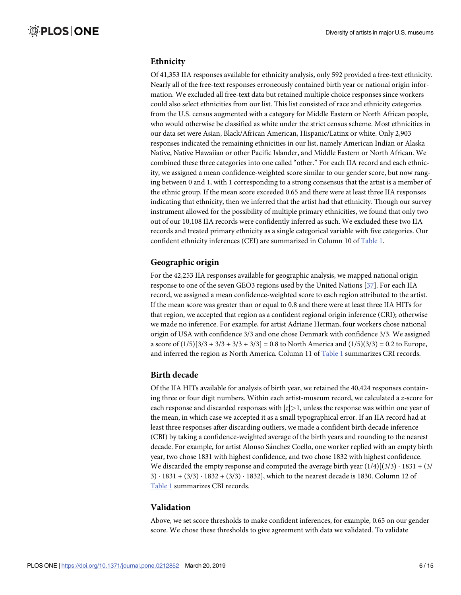#### <span id="page-5-0"></span>**Ethnicity**

Of 41,353 IIA responses available for ethnicity analysis, only 592 provided a free-text ethnicity. Nearly all of the free-text responses erroneously contained birth year or national origin information. We excluded all free-text data but retained multiple choice responses since workers could also select ethnicities from our list. This list consisted of race and ethnicity categories from the U.S. census augmented with a category for Middle Eastern or North African people, who would otherwise be classified as white under the strict census scheme. Most ethnicities in our data set were Asian, Black/African American, Hispanic/Latinx or white. Only 2,903 responses indicated the remaining ethnicities in our list, namely American Indian or Alaska Native, Native Hawaiian or other Pacific Islander, and Middle Eastern or North African. We combined these three categories into one called "other." For each IIA record and each ethnicity, we assigned a mean confidence-weighted score similar to our gender score, but now ranging between 0 and 1, with 1 corresponding to a strong consensus that the artist is a member of the ethnic group. If the mean score exceeded 0.65 and there were at least three IIA responses indicating that ethnicity, then we inferred that the artist had that ethnicity. Though our survey instrument allowed for the possibility of multiple primary ethnicities, we found that only two out of our 10,108 IIA records were confidently inferred as such. We excluded these two IIA records and treated primary ethnicity as a single categorical variable with five categories. Our confident ethnicity inferences (CEI) are summarized in Column 10 of [Table](#page-2-0) 1.

#### **Geographic origin**

For the 42,253 IIA responses available for geographic analysis, we mapped national origin response to one of the seven GEO3 regions used by the United Nations [\[37\]](#page-14-0). For each IIA record, we assigned a mean confidence-weighted score to each region attributed to the artist. If the mean score was greater than or equal to 0.8 and there were at least three IIA HITs for that region, we accepted that region as a confident regional origin inference (CRI); otherwise we made no inference. For example, for artist Adriane Herman, four workers chose national origin of USA with confidence 3/3 and one chose Denmark with confidence 3/3. We assigned a score of  $(1/5)[3/3 + 3/3 + 3/3 + 3/3] = 0.8$  to North America and  $(1/5)(3/3) = 0.2$  to Europe, and inferred the region as North America. Column 11 of [Table](#page-2-0) 1 summarizes CRI records.

### **Birth decade**

Of the IIA HITs available for analysis of birth year, we retained the 40,424 responses containing three or four digit numbers. Within each artist-museum record, we calculated a *z*-score for each response and discarded responses with |*z*|*>*1, unless the response was within one year of the mean, in which case we accepted it as a small typographical error. If an IIA record had at least three responses after discarding outliers, we made a confident birth decade inference (CBI) by taking a confidence-weighted average of the birth years and rounding to the nearest decade. For example, for artist Alonso Sánchez Coello, one worker replied with an empty birth year, two chose 1831 with highest confidence, and two chose 1832 with highest confidence. We discarded the empty response and computed the average birth year  $(1/4)[(3/3) \cdot 1831 + (3/4)$  $3) \cdot 1831 + (3/3) \cdot 1832 + (3/3) \cdot 1832$ , which to the nearest decade is 1830. Column 12 of [Table](#page-2-0) 1 summarizes CBI records.

#### **Validation**

Above, we set score thresholds to make confident inferences, for example, 0.65 on our gender score. We chose these thresholds to give agreement with data we validated. To validate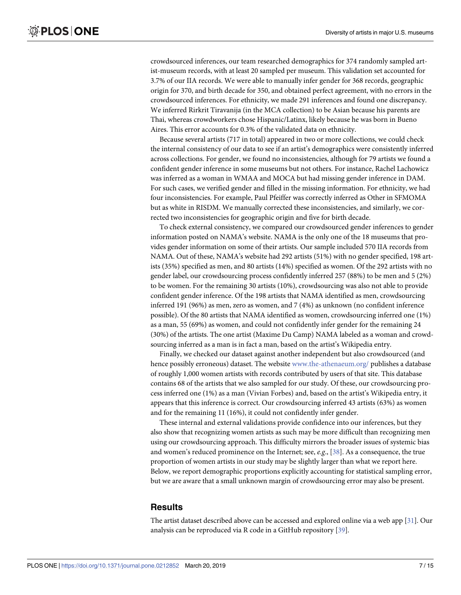<span id="page-6-0"></span>crowdsourced inferences, our team researched demographics for 374 randomly sampled artist-museum records, with at least 20 sampled per museum. This validation set accounted for 3.7% of our IIA records. We were able to manually infer gender for 368 records, geographic origin for 370, and birth decade for 350, and obtained perfect agreement, with no errors in the crowdsourced inferences. For ethnicity, we made 291 inferences and found one discrepancy. We inferred Rirkrit Tiravanija (in the MCA collection) to be Asian because his parents are Thai, whereas crowdworkers chose Hispanic/Latinx, likely because he was born in Bueno Aires. This error accounts for 0.3% of the validated data on ethnicity.

Because several artists (717 in total) appeared in two or more collections, we could check the internal consistency of our data to see if an artist's demographics were consistently inferred across collections. For gender, we found no inconsistencies, although for 79 artists we found a confident gender inference in some museums but not others. For instance, Rachel Lachowicz was inferred as a woman in WMAA and MOCA but had missing gender inference in DAM. For such cases, we verified gender and filled in the missing information. For ethnicity, we had four inconsistencies. For example, Paul Pfeiffer was correctly inferred as Other in SFMOMA but as white in RISDM. We manually corrected these inconsistencies, and similarly, we corrected two inconsistencies for geographic origin and five for birth decade.

To check external consistency, we compared our crowdsourced gender inferences to gender information posted on NAMA's website. NAMA is the only one of the 18 museums that provides gender information on some of their artists. Our sample included 570 IIA records from NAMA. Out of these, NAMA's website had 292 artists (51%) with no gender specified, 198 artists (35%) specified as men, and 80 artists (14%) specified as women. Of the 292 artists with no gender label, our crowdsourcing process confidently inferred 257 (88%) to be men and 5 (2%) to be women. For the remaining 30 artists (10%), crowdsourcing was also not able to provide confident gender inference. Of the 198 artists that NAMA identified as men, crowdsourcing inferred 191 (96%) as men, zero as women, and 7 (4%) as unknown (no confident inference possible). Of the 80 artists that NAMA identified as women, crowdsourcing inferred one (1%) as a man, 55 (69%) as women, and could not confidently infer gender for the remaining 24 (30%) of the artists. The one artist (Maxime Du Camp) NAMA labeled as a woman and crowdsourcing inferred as a man is in fact a man, based on the artist's Wikipedia entry.

Finally, we checked our dataset against another independent but also crowdsourced (and hence possibly erroneous) dataset. The website [www.the-athenaeum.org/](http://www.the-athenaeum.org/) publishes a database of roughly 1,000 women artists with records contributed by users of that site. This database contains 68 of the artists that we also sampled for our study. Of these, our crowdsourcing process inferred one (1%) as a man (Vivian Forbes) and, based on the artist's Wikipedia entry, it appears that this inference is correct. Our crowdsourcing inferred 43 artists (63%) as women and for the remaining 11 (16%), it could not confidently infer gender.

These internal and external validations provide confidence into our inferences, but they also show that recognizing women artists as such may be more difficult than recognizing men using our crowdsourcing approach. This difficulty mirrors the broader issues of systemic bias and women's reduced prominence on the Internet; see, *e.g*., [[38](#page-14-0)]. As a consequence, the true proportion of women artists in our study may be slightly larger than what we report here. Below, we report demographic proportions explicitly accounting for statistical sampling error, but we are aware that a small unknown margin of crowdsourcing error may also be present.

#### **Results**

The artist dataset described above can be accessed and explored online via a web app [[31](#page-14-0)]. Our analysis can be reproduced via R code in a GitHub repository [[39](#page-14-0)].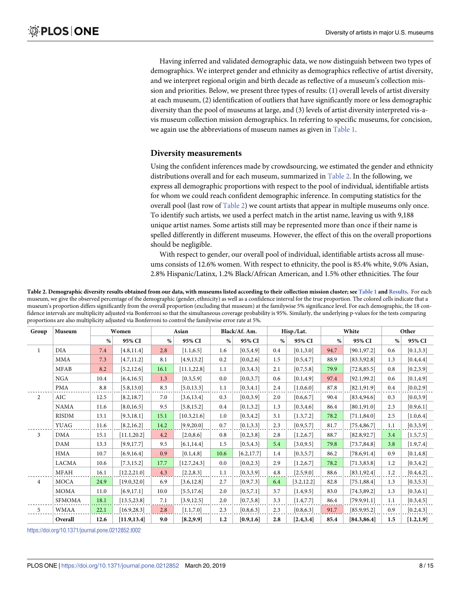<span id="page-7-0"></span>Having inferred and validated demographic data, we now distinguish between two types of demographics. We interpret gender and ethnicity as demographics reflective of artist diversity, and we interpret regional origin and birth decade as reflective of a museum's collection mission and priorities. Below, we present three types of results: (1) overall levels of artist diversity at each museum, (2) identification of outliers that have significantly more or less demographic diversity than the pool of museums at large, and (3) levels of artist diversity interpreted vis-avis museum collection mission demographics. In referring to specific museums, for concision, we again use the abbreviations of museum names as given in [Table](#page-2-0) 1.

#### **Diversity measurements**

Using the confident inferences made by crowdsourcing, we estimated the gender and ethnicity distributions overall and for each museum, summarized in Table 2. In the following, we express all demographic proportions with respect to the pool of individual, identifiable artists for whom we could reach confident demographic inference. In computing statistics for the overall pool (last row of Table 2) we count artists that appear in multiple museums only once. To identify such artists, we used a perfect match in the artist name, leaving us with 9,188 unique artist names. Some artists still may be represented more than once if their name is spelled differently in different museums. However, the effect of this on the overall proportions should be negligible.

With respect to gender, our overall pool of individual, identifiable artists across all museums consists of 12.6% women. With respect to ethnicity, the pool is 85.4% white, 9.0% Asian, 2.8% Hispanic/Latinx, 1.2% Black/African American, and 1.5% other ethnicities. The four

[Table](#page-2-0) 2. Demographic diversity results obtained from our data, with museums listed according to their collection mission cluster; see Table 1 and [Results.](#page-6-0) For each museum, we give the observed percentage of the demographic (gender, ethnicity) as well as a confidence interval for the true proportion. The colored cells indicate that a museum's proportion differs significantly from the overall proportion (excluding that museum) at the familywise 5% significance level. For each demographic, the 18 confidence intervals are multiplicity adjusted via Bonferroni so that the simultaneous coverage probability is 95%. Similarly, the underlying p-values for the tests comparing proportions are also multiplicity adjusted via Bonferroni to control the familywise error rate at 5%.

| Group          | Museum        | Women |              | Asian |              | Black/Af. Am. |             | Hisp./Lat. |             | White |              | Other   |            |
|----------------|---------------|-------|--------------|-------|--------------|---------------|-------------|------------|-------------|-------|--------------|---------|------------|
|                |               | %     | 95% CI       | %     | 95% CI       | %             | 95% CI      | $\%$       | 95% CI      | %     | 95% CI       | %       | 95% CI     |
| $\mathbf{1}$   | DIA           | 7.4   | [4.8, 11.4]  | 2.8   | [1.1, 6.5]   | 1.6           | [0.5, 4.9]  | 0.4        | [0.1, 3.0]  | 94.7  | [90.1, 97.2] | 0.6     | [0.1, 3.3] |
|                | <b>MMA</b>    | 7.3   | [4.7, 11.2]  | 8.1   | [4.9, 13.2]  | 0.2           | [0.0, 2.6]  | 1.5        | [0.5, 4.7]  | 88.9  | [83.3, 92.8] | 1.3     | [0.4, 4.4] |
|                | MFAB          | 8.2   | [5.2, 12.6]  | 16.1  | [11.1, 22.8] | 1.1           | [0.3, 4.3]  | 2.1        | [0.7, 5.8]  | 79.9  | [72.8, 85.5] | 0.8     | [0.2, 3.9] |
|                | <b>NGA</b>    | 10.4  | [6.4, 16.5]  | 1.3   | [0.3, 5.9]   | 0.0           | [0.0, 3.7]  | 0.6        | [0.1, 4.9]  | 97.4  | [92.1, 99.2] | 0.6     | [0.1, 4.9] |
|                | <b>PMA</b>    | 8.8   | [5.8, 13.0]  | 8.3   | [5.0, 13.3]  | 1.1           | [0.3, 4.1]  | 2.4        | [1.0, 6.0]  | 87.8  | [82.1, 91.9] | $0.4\,$ | [0.0, 2.9] |
| $\overline{2}$ | AIC           | 12.5  | [8.2, 18.7]  | 7.0   | [3.6, 13.4]  | 0.3           | [0.0, 3.9]  | 2.0        | [0.6, 6.7]  | 90.4  | [83.4, 94.6] | 0.3     | [0.0, 3.9] |
|                | <b>NAMA</b>   | 11.6  | [8.0, 16.5]  | 9.5   | [5.8, 15.2]  | 0.4           | [0.1, 3.2]  | 1.3        | [0.3, 4.6]  | 86.4  | [80.1, 91.0] | 2.3     | [0.9, 6.1] |
|                | <b>RISDM</b>  | 13.1  | [9.3, 18.1]  | 15.1  | [10.3, 21.6] | 1.0           | [0.3, 4.2]  | 3.1        | [1.3, 7.2]  | 78.2  | [71.1, 84.0] | 2.5     | [1.0, 6.4] |
|                | <b>YUAG</b>   | 11.6  | [8.2, 16.2]  | 14.2  | [9.9, 20.0]  | 0.7           | [0.1, 3.3]  | 2.3        | [0.9, 5.7]  | 81.7  | [75.4, 86.7] | 1.1     | [0.3, 3.9] |
| 3              | <b>DMA</b>    | 15.1  | [11.1, 20.2] | 4.2   | [2.0, 8.6]   | 0.8           | [0.2, 3.8]  | 2.8        | [1.2, 6.7]  | 88.7  | [82.8, 92.7] | 3.4     | [1.5, 7.5] |
|                | <b>DAM</b>    | 13.3  | [9.9, 17.7]  | 9.5   | [6.1, 14.4]  | 1.5           | [0.5, 4.3]  | 5.4        | [3.0, 9.5]  | 79.8  | [73.7, 84.8] | 3.8     | [1.9, 7.4] |
|                | <b>HMA</b>    | 10.7  | [6.9, 16.4]  | 0.9   | [0.1, 4.8]   | 10.6          | [6.2, 17.7] | 1.4        | [0.3, 5.7]  | 86.2  | [78.6, 91.4] | 0.9     | [0.1, 4.8] |
|                | LACMA         | 10.6  | [7.3, 15.2]  | 17.7  | [12.7, 24.3] | 0.0           | [0.0, 2.3]  | 2.9        | [1.2, 6.7]  | 78.2  | [71.3, 83.8] | 1.2     | [0.3, 4.2] |
|                | MFAH          | 16.1  | [12.2, 21.0] | 4.3   | [2.2, 8.3]   | 1.1           | [0.3, 3.9]  | 4.8        | [2.5, 9.0]  | 88.6  | [83.1, 92.4] | 1.2     | [0.4, 4.2] |
| $\overline{4}$ | <b>MOCA</b>   | 24.9  | [19.0, 32.0] | 6.9   | [3.6, 12.8]  | 2.7           | [0.9, 7.3]  | 6.4        | [3.2, 12.2] | 82.8  | [75.1, 88.4] | 1.3     | [0.3, 5.3] |
|                | <b>MOMA</b>   | 11.0  | [6.9, 17.1]  | 10.0  | [5.5, 17.6]  | 2.0           | [0.5, 7.1]  | 3.7        | [1.4, 9.5]  | 83.0  | [74.3, 89.2] | 1.3     | [0.3, 6.1] |
|                | <b>SFMOMA</b> | 18.1  | [13.5, 23.8] | 7.1   | [3.9, 12.5]  | 2.0           | [0.7, 5.8]  | 3.3        | [1.4, 7.7]  | 86.4  | [79.9, 91.1] | 1.1     | [0.3, 4.5] |
| 5              | <b>WMAA</b>   | 22.1  | [16.9, 28.3] | 2.8   | [1.1, 7.0]   | 2.3           | [0.8, 6.3]  | 2.3        | [0.8, 6.3]  | 91.7  | [85.9, 95.2] | 0.9     | [0.2, 4.3] |
|                | Overall       | 12.6  | [11.9, 13.4] | 9.0   | [8.2, 9.9]   | 1.2           | [0.9, 1.6]  | 2.8        | [2.4, 3.4]  | 85.4  | [84.3, 86.4] | 1.5     | [1.2, 1.9] |

<https://doi.org/10.1371/journal.pone.0212852.t002>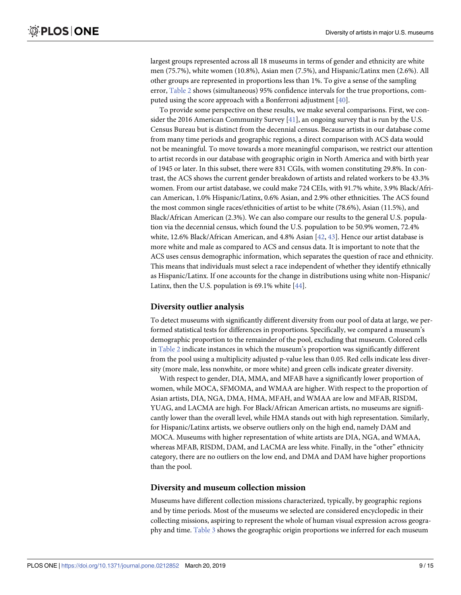<span id="page-8-0"></span>largest groups represented across all 18 museums in terms of gender and ethnicity are white men (75.7%), white women (10.8%), Asian men (7.5%), and Hispanic/Latinx men (2.6%). All other groups are represented in proportions less than 1%. To give a sense of the sampling error, [Table](#page-7-0) 2 shows (simultaneous) 95% confidence intervals for the true proportions, computed using the score approach with a Bonferroni adjustment [[40](#page-14-0)].

To provide some perspective on these results, we make several comparisons. First, we consider the 2016 American Community Survey  $[41]$ , an ongoing survey that is run by the U.S. Census Bureau but is distinct from the decennial census. Because artists in our database come from many time periods and geographic regions, a direct comparison with ACS data would not be meaningful. To move towards a more meaningful comparison, we restrict our attention to artist records in our database with geographic origin in North America and with birth year of 1945 or later. In this subset, there were 831 CGIs, with women constituting 29.8%. In contrast, the ACS shows the current gender breakdown of artists and related workers to be 43.3% women. From our artist database, we could make 724 CEIs, with 91.7% white, 3.9% Black/African American, 1.0% Hispanic/Latinx, 0.6% Asian, and 2.9% other ethnicities. The ACS found the most common single races/ethnicities of artist to be white (78.6%), Asian (11.5%), and Black/African American (2.3%). We can also compare our results to the general U.S. population via the decennial census, which found the U.S. population to be 50.9% women, 72.4% white, 12.6% Black/African American, and 4.8% Asian [[42](#page-14-0), [43](#page-14-0)]. Hence our artist database is more white and male as compared to ACS and census data. It is important to note that the ACS uses census demographic information, which separates the question of race and ethnicity. This means that individuals must select a race independent of whether they identify ethnically as Hispanic/Latinx. If one accounts for the change in distributions using white non-Hispanic/ Latinx, then the U.S. population is 69.1% white [\[44](#page-14-0)].

#### **Diversity outlier analysis**

To detect museums with significantly different diversity from our pool of data at large, we performed statistical tests for differences in proportions. Specifically, we compared a museum's demographic proportion to the remainder of the pool, excluding that museum. Colored cells in [Table](#page-7-0) 2 indicate instances in which the museum's proportion was significantly different from the pool using a multiplicity adjusted p-value less than 0.05. Red cells indicate less diversity (more male, less nonwhite, or more white) and green cells indicate greater diversity.

With respect to gender, DIA, MMA, and MFAB have a significantly lower proportion of women, while MOCA, SFMOMA, and WMAA are higher. With respect to the proportion of Asian artists, DIA, NGA, DMA, HMA, MFAH, and WMAA are low and MFAB, RISDM, YUAG, and LACMA are high. For Black/African American artists, no museums are significantly lower than the overall level, while HMA stands out with high representation. Similarly, for Hispanic/Latinx artists, we observe outliers only on the high end, namely DAM and MOCA. Museums with higher representation of white artists are DIA, NGA, and WMAA, whereas MFAB, RISDM, DAM, and LACMA are less white. Finally, in the "other" ethnicity category, there are no outliers on the low end, and DMA and DAM have higher proportions than the pool.

#### **Diversity and museum collection mission**

Museums have different collection missions characterized, typically, by geographic regions and by time periods. Most of the museums we selected are considered encyclopedic in their collecting missions, aspiring to represent the whole of human visual expression across geography and time. [Table](#page-9-0) 3 shows the geographic origin proportions we inferred for each museum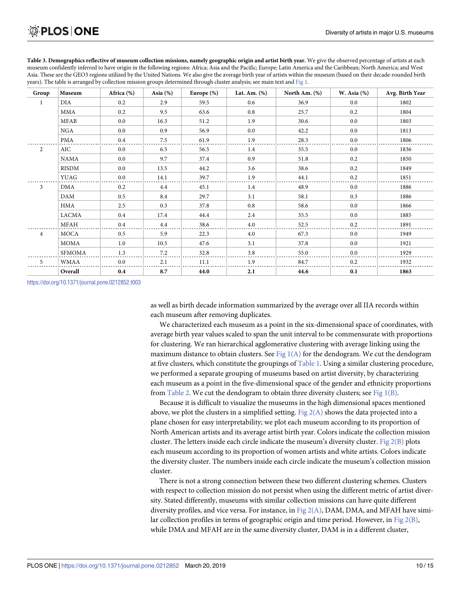|       |             |            |             |               | years). The table is arranged by collection mission groups determined through cluster analysis; see main text and Fig 1. | Asia. These are the GEO3 regions utilized by the United Nations. We also give the average birth year of artists within the museum (based on their decade-rounded birth |             |                 |
|-------|-------------|------------|-------------|---------------|--------------------------------------------------------------------------------------------------------------------------|------------------------------------------------------------------------------------------------------------------------------------------------------------------------|-------------|-----------------|
| Group | Museum      | Africa (%) | Asia $(\%)$ | Europe $(\%)$ | Lat. Am. $(\%)$                                                                                                          | North Am. $(\%)$                                                                                                                                                       | W. Asia (%) | Avg. Birth Year |
| 1     | DIA         | 0.2        | 2.9         | 59.5          | 0.6                                                                                                                      | 36.9                                                                                                                                                                   | 0.0         | 1802            |
|       | <b>MMA</b>  | 0.2        | 9.5         | 63.6          | 0.8                                                                                                                      | 25.7                                                                                                                                                                   | 0.2         | 1804            |
|       | MFAB        | 0.0        | 16.3        | 51.2          | 1.9                                                                                                                      | 30.6                                                                                                                                                                   | 0.0         | 1803            |
|       | NGA         | 0.0        | 0.9         | 56.9          | 0.0                                                                                                                      | 42.2                                                                                                                                                                   | 0.0         | 1813            |
|       | <b>PMA</b>  | 0.4        | 7.5         | 61.9          | 1.9                                                                                                                      | 28.3                                                                                                                                                                   | 0.0         | 1806            |
| 2     | AIC         | 0.0        | 6.5         | 56.5          | 1.4                                                                                                                      | 35.5                                                                                                                                                                   | 0.0         | 1836            |
|       | <b>NAMA</b> | 0.0        | 9.7         | 37.4          | 0.9                                                                                                                      | 51.8                                                                                                                                                                   | 0.2         | 1850            |
|       | RISDM       | 0.0        | 13.5        | 44.2          | 3.6                                                                                                                      | 38.6                                                                                                                                                                   | 0.2         | 1849            |
|       | <b>YUAG</b> | 0.0        | 14.1        | 39.7          | 1.9                                                                                                                      | 44.1                                                                                                                                                                   | 0.2         | 1851            |
| 3     | DMA         | 0.2        | 4.4         | 45.1          | 1.4                                                                                                                      | 48.9                                                                                                                                                                   | 0.0         | 1886            |
|       | DAM         | 0.5        | 8.4         | 29.7          | 3.1                                                                                                                      | 58.1                                                                                                                                                                   | 0.3         | 1886            |
|       | HMA         | 2.5        | 0.3         | 37.8          | 0.8                                                                                                                      | 58.6                                                                                                                                                                   | 0.0         | 1866            |
|       | LACMA       | $0.4\,$    | 17.4        | 44.4          | 2.4                                                                                                                      | 35.5                                                                                                                                                                   | 0.0         | 1885            |
|       | MFAH        | 0.4        | 4.4         | 38.6          | 4.0                                                                                                                      | 52.5                                                                                                                                                                   | 0.2         | 1891            |
| 4     | <b>MOCA</b> | 0.5        | 5.9         | 22.3          | 4.0                                                                                                                      | 67.3                                                                                                                                                                   | 0.0         | 1949            |

MOMA | 1.0 | 10.5 | 47.6 | 3.1 | 37.8 | 0.0 | 1921 SFMOMA | 1.3 | 7.2 | 32.8 | 3.8 | 55.0 | 0.0 | 1929 5 | WMAA | 0.0 | 2.1 | 11.1 | 1.9 | 84.7 | 0.2 | 1932 **Overall 0.4 8.7 44.0 2.1 44.6 0.1 1863**

<span id="page-9-0"></span>[Table](#page-8-0) 3. Demographics reflective of museum collection missions, namely geographic origin and artist birth year. We give the observed percentage of artists at each museum confidently inferred to have origin in the following regions: Africa; Asia and the Pacific; Europe; Latin America and the Caribbean; North America; and West Asia. These are the GEO3 regions utilized by the United Nations. We also give the average birth year of artists within the museum (based on their decade-rounded birth

<https://doi.org/10.1371/journal.pone.0212852.t003>

as well as birth decade information summarized by the average over all IIA records within each museum after removing duplicates.

We characterized each museum as a point in the six-dimensional space of coordinates, with average birth year values scaled to span the unit interval to be commensurate with proportions for clustering. We ran hierarchical agglomerative clustering with average linking using the maximum distance to obtain clusters. See Fig  $1(A)$  for the dendogram. We cut the dendogram at five clusters, which constitute the groupings of [Table](#page-2-0) 1. Using a similar clustering procedure, we performed a separate grouping of museums based on artist diversity, by characterizing each museum as a point in the five-dimensional space of the gender and ethnicity proportions from [Table](#page-7-0) 2. We cut the dendogram to obtain three diversity clusters; see Fig  $1(B)$ .

Because it is difficult to visualize the museums in the high dimensional spaces mentioned above, we plot the clusters in a simplified setting. Fig  $2(A)$  shows the data projected into a plane chosen for easy interpretability; we plot each museum according to its proportion of North American artists and its average artist birth year. Colors indicate the collection mission cluster. The letters inside each circle indicate the museum's diversity cluster. Fig  $2(B)$  plots each museum according to its proportion of women artists and white artists. Colors indicate the diversity cluster. The numbers inside each circle indicate the museum's collection mission cluster.

There is not a strong connection between these two different clustering schemes. Clusters with respect to collection mission do not persist when using the different metric of artist diversity. Stated differently, museums with similar collection missions can have quite different diversity profiles, and vice versa. For instance, in Fig  $2(A)$ , DAM, DMA, and MFAH have similar collection profiles in terms of geographic origin and time period. However, in Fig  $2(B)$ , while DMA and MFAH are in the same diversity cluster, DAM is in a different cluster,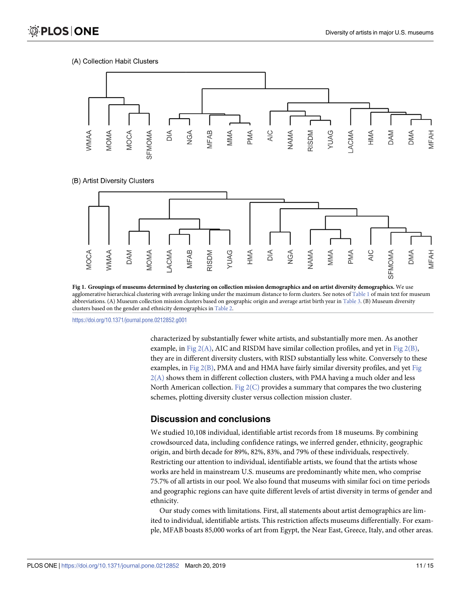#### <span id="page-10-0"></span>(A) Collection Habit Clusters



(B) Artist Diversity Clusters



[Fig](#page-9-0) 1. Groupings of museums determined by clustering on collection mission demographics and on artist diversity demographics. We use agglomerative hierarchical clustering with average linking under the maximum distance to form clusters. See notes of [Table](#page-2-0) 1 of main text for museum abbreviations. (A) Museum collection mission clusters based on geographic origin and average artist birth year in [Table](#page-9-0) 3. (B) Museum diversity clusters based on the gender and ethnicity demographics in [Table](#page-7-0) 2.

<https://doi.org/10.1371/journal.pone.0212852.g001>

characterized by substantially fewer white artists, and substantially more men. As another example, in Fig  $2(A)$ , AIC and RISDM have similar collection profiles, and yet in Fig  $2(B)$ , they are in different diversity clusters, with RISD substantially less white. Conversely to these examples, in [Fig](#page-11-0)  $2(B)$ , PMA and and HMA have fairly similar diversity profiles, and yet Fig  $2(A)$  shows them in different collection clusters, with PMA having a much older and less North American collection. Fig  $2(\text{C})$  provides a summary that compares the two clustering schemes, plotting diversity cluster versus collection mission cluster.

## **Discussion and conclusions**

We studied 10,108 individual, identifiable artist records from 18 museums. By combining crowdsourced data, including confidence ratings, we inferred gender, ethnicity, geographic origin, and birth decade for 89%, 82%, 83%, and 79% of these individuals, respectively. Restricting our attention to individual, identifiable artists, we found that the artists whose works are held in mainstream U.S. museums are predominantly white men, who comprise 75.7% of all artists in our pool. We also found that museums with similar foci on time periods and geographic regions can have quite different levels of artist diversity in terms of gender and ethnicity.

Our study comes with limitations. First, all statements about artist demographics are limited to individual, identifiable artists. This restriction affects museums differentially. For example, MFAB boasts 85,000 works of art from Egypt, the Near East, Greece, Italy, and other areas.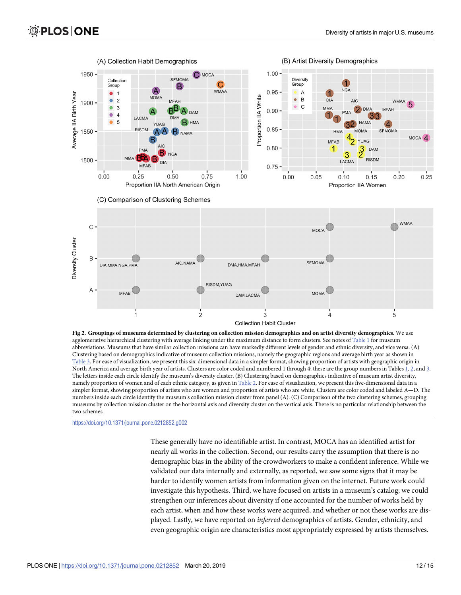<span id="page-11-0"></span>

agglomerative hierarchical clustering with average linking under the maximum distance to form clusters. See notes of [Table](#page-2-0) 1 for museum abbreviations. Museums that have similar collection missions can have markedly different levels of gender and ethnic diversity, and vice versa. (A) Clustering based on demographics indicative of museum collection missions, namely the geographic regions and average birth year as shown in [Table](#page-9-0) 3. For ease of visualization, we present this six-dimensional data in a simpler format, showing proportion of artists with geographic origin in North America and average birth year of artists. Clusters are color coded and numbered 1 through 4; these are the group numbers in Tables [1,](#page-2-0) [2](#page-7-0), and [3](#page-9-0). The letters inside each circle identify the museum's diversity cluster. (B) Clustering based on demographics indicative of museum artist diversity, namely proportion of women and of each ethnic category, as given in [Table](#page-7-0) 2. For ease of visualization, we present this five-dimensional data in a simpler format, showing proportion of artists who are women and proportion of artists who are white. Clusters are color coded and labeled A—D. The numbers inside each circle identify the museum's collection mission cluster from panel (A). (C) Comparison of the two clustering schemes, grouping museums by collection mission cluster on the horizontal axis and diversity cluster on the vertical axis. There is no particular relationship between the two schemes.

<https://doi.org/10.1371/journal.pone.0212852.g002>

These generally have no identifiable artist. In contrast, MOCA has an identified artist for nearly all works in the collection. Second, our results carry the assumption that there is no demographic bias in the ability of the crowdworkers to make a confident inference. While we validated our data internally and externally, as reported, we saw some signs that it may be harder to identify women artists from information given on the internet. Future work could investigate this hypothesis. Third, we have focused on artists in a museum's catalog; we could strengthen our inferences about diversity if one accounted for the number of works held by each artist, when and how these works were acquired, and whether or not these works are displayed. Lastly, we have reported on *inferred* demographics of artists. Gender, ethnicity, and even geographic origin are characteristics most appropriately expressed by artists themselves.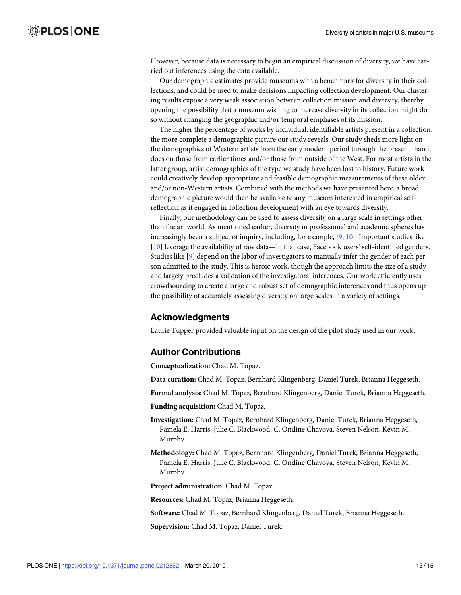<span id="page-12-0"></span>However, because data is necessary to begin an empirical discussion of diversity, we have carried out inferences using the data available.

Our demographic estimates provide museums with a benchmark for diversity in their collections, and could be used to make decisions impacting collection development. Our clustering results expose a very weak association between collection mission and diversity, thereby opening the possibility that a museum wishing to increase diversity in its collection might do so without changing the geographic and/or temporal emphases of its mission.

The higher the percentage of works by individual, identifiable artists present in a collection, the more complete a demographic picture our study reveals. Our study sheds more light on the demographics of Western artists from the early modern period through the present than it does on those from earlier times and/or those from outside of the West. For most artists in the latter group, artist demographics of the type we study have been lost to history. Future work could creatively develop appropriate and feasible demographic measurements of these older and/or non-Western artists. Combined with the methods we have presented here, a broad demographic picture would then be available to any museum interested in empirical selfreflection as it engaged in collection development with an eye towards diversity.

Finally, our methodology can be used to assess diversity on a large scale in settings other than the art world. As mentioned earlier, diversity in professional and academic spheres has increasingly been a subject of inquiry, including, for example, [[9,](#page-13-0) [10\]](#page-13-0). Important studies like [\[10\]](#page-13-0) leverage the availability of raw data—in that case, Facebook users' self-identified genders. Studies like [[9\]](#page-13-0) depend on the labor of investigators to manually infer the gender of each person admitted to the study. This is heroic work, though the approach limits the size of a study and largely precludes a validation of the investigators' inferences. Our work efficiently uses crowdsourcing to create a large and robust set of demographic inferences and thus opens up the possibility of accurately assessing diversity on large scales in a variety of settings.

#### **Acknowledgments**

Laurie Tupper provided valuable input on the design of the pilot study used in our work.

#### **Author Contributions**

**Conceptualization:** Chad M. Topaz.

**Data curation:** Chad M. Topaz, Bernhard Klingenberg, Daniel Turek, Brianna Heggeseth.

**Formal analysis:** Chad M. Topaz, Bernhard Klingenberg, Daniel Turek, Brianna Heggeseth.

**Funding acquisition:** Chad M. Topaz.

- **Investigation:** Chad M. Topaz, Bernhard Klingenberg, Daniel Turek, Brianna Heggeseth, Pamela E. Harris, Julie C. Blackwood, C. Ondine Chavoya, Steven Nelson, Kevin M. Murphy.
- **Methodology:** Chad M. Topaz, Bernhard Klingenberg, Daniel Turek, Brianna Heggeseth, Pamela E. Harris, Julie C. Blackwood, C. Ondine Chavoya, Steven Nelson, Kevin M. Murphy.

**Project administration:** Chad M. Topaz.

**Resources:** Chad M. Topaz, Brianna Heggeseth.

**Software:** Chad M. Topaz, Bernhard Klingenberg, Daniel Turek, Brianna Heggeseth.

**Supervision:** Chad M. Topaz, Daniel Turek.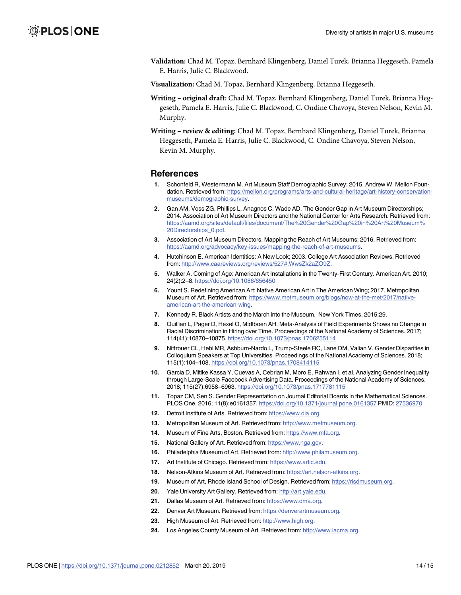<span id="page-13-0"></span>**Validation:** Chad M. Topaz, Bernhard Klingenberg, Daniel Turek, Brianna Heggeseth, Pamela E. Harris, Julie C. Blackwood.

**Visualization:** Chad M. Topaz, Bernhard Klingenberg, Brianna Heggeseth.

- **Writing – original draft:** Chad M. Topaz, Bernhard Klingenberg, Daniel Turek, Brianna Heggeseth, Pamela E. Harris, Julie C. Blackwood, C. Ondine Chavoya, Steven Nelson, Kevin M. Murphy.
- **Writing – review & editing:** Chad M. Topaz, Bernhard Klingenberg, Daniel Turek, Brianna Heggeseth, Pamela E. Harris, Julie C. Blackwood, C. Ondine Chavoya, Steven Nelson, Kevin M. Murphy.

#### **References**

- **[1](#page-0-0).** Schonfeld R, Westermann M. Art Museum Staff Demographic Survey; 2015. Andrew W. Mellon Foundation. Retrieved from: [https://mellon.org/programs/arts-and-cultural-heritage/art-history-conservation](https://mellon.org/programs/arts-and-cultural-heritage/art-history-conservation-museums/demographic-survey)[museums/demographic-survey](https://mellon.org/programs/arts-and-cultural-heritage/art-history-conservation-museums/demographic-survey).
- **[2](#page-0-0).** Gan AM, Voss ZG, Phillips L, Anagnos C, Wade AD. The Gender Gap in Art Museum Directorships; 2014. Association of Art Museum Directors and the National Center for Arts Research. Retrieved from: [https://aamd.org/sites/default/files/document/The%20Gender%20Gap%20in%20Art%20Museum%](https://aamd.org/sites/default/files/document/The%20Gender%20Gap%20in%20Art%20Museum%20Directorships_0.pdf) [20Directorships\\_0.pdf.](https://aamd.org/sites/default/files/document/The%20Gender%20Gap%20in%20Art%20Museum%20Directorships_0.pdf)
- **[3](#page-0-0).** Association of Art Museum Directors. Mapping the Reach of Art Museums; 2016. Retrieved from: <https://aamd.org/advocacy/key-issues/mapping-the-reach-of-art-museums>.
- **[4](#page-1-0).** Hutchinson E. American Identities: A New Look; 2003. College Art Association Reviews. Retrieved from: [http://www.caareviews.org/reviews/527#.WwsZk2aZO9Z.](http://www.caareviews.org/reviews/527#.WwsZk2aZO9Z)
- **5.** Walker A. Coming of Age: American Art Installations in the Twenty-First Century. American Art. 2010; 24(2):2–8. <https://doi.org/10.1086/656450>
- **[6](#page-1-0).** Yount S. Redefining American Art: Native American Art in The American Wing; 2017. Metropolitan Museum of Art. Retrieved from: [https://www.metmuseum.org/blogs/now-at-the-met/2017/native](https://www.metmuseum.org/blogs/now-at-the-met/2017/native-american-art-the-american-wing)[american-art-the-american-wing.](https://www.metmuseum.org/blogs/now-at-the-met/2017/native-american-art-the-american-wing)
- **[7](#page-1-0).** Kennedy R. Black Artists and the March into the Museum. New York Times. 2015;29.
- **[8](#page-1-0).** Quillian L, Pager D, Hexel O, Midtboen AH. Meta-Analysis of Field Experiments Shows no Change in Racial Discrimination in Hiring over Time. Proceedings of the National Academy of Sciences. 2017; 114(41):10870–10875. <https://doi.org/10.1073/pnas.1706255114>
- **[9](#page-12-0).** Nittrouer CL, Hebl MR, Ashburn-Nardo L, Trump-Steele RC, Lane DM, Valian V. Gender Disparities in Colloquium Speakers at Top Universities. Proceedings of the National Academy of Sciences. 2018; 115(1):104–108. <https://doi.org/10.1073/pnas.1708414115>
- **[10](#page-1-0).** Garcia D, Mitike Kassa Y, Cuevas A, Cebrian M, Moro E, Rahwan I, et al. Analyzing Gender Inequality through Large-Scale Facebook Advertising Data. Proceedings of the National Academy of Sciences. 2018; 115(27):6958–6963. <https://doi.org/10.1073/pnas.1717781115>
- **[11](#page-1-0).** Topaz CM, Sen S. Gender Representation on Journal Editorial Boards in the Mathematical Sciences. PLOS One. 2016; 11(8):e0161357. <https://doi.org/10.1371/journal.pone.0161357> PMID: [27536970](http://www.ncbi.nlm.nih.gov/pubmed/27536970)
- **[12](#page-2-0).** Detroit Institute of Arts. Retrieved from: <https://www.dia.org>.
- **13.** Metropolitan Museum of Art. Retrieved from: <http://www.metmuseum.org>.
- **14.** Museum of Fine Arts, Boston. Retrieved from: <https://www.mfa.org>.
- **15.** National Gallery of Art. Retrieved from: <https://www.nga.gov>.
- **16.** Philadelphia Museum of Art. Retrieved from: [http://www.philamuseum.org.](http://www.philamuseum.org)
- **17.** Art Institute of Chicago. Retrieved from: <https://www.artic.edu>.
- **18.** Nelson-Atkins Museum of Art. Retrieved from: <https://art.nelson-atkins.org>.
- **19.** Museum of Art, Rhode Island School of Design. Retrieved from: <https://risdmuseum.org>.
- **20.** Yale University Art Gallery. Retrieved from: [http://art.yale.edu.](http://art.yale.edu)
- **21.** Dallas Museum of Art. Retrieved from: <https://www.dma.org>.
- **22.** Denver Art Museum. Retrieved from: <https://denverartmuseum.org>.
- **23.** High Museum of Art. Retrieved from: <http://www.high.org>.
- **24.** Los Angeles County Museum of Art. Retrieved from: [http://www.lacma.org.](http://www.lacma.org)